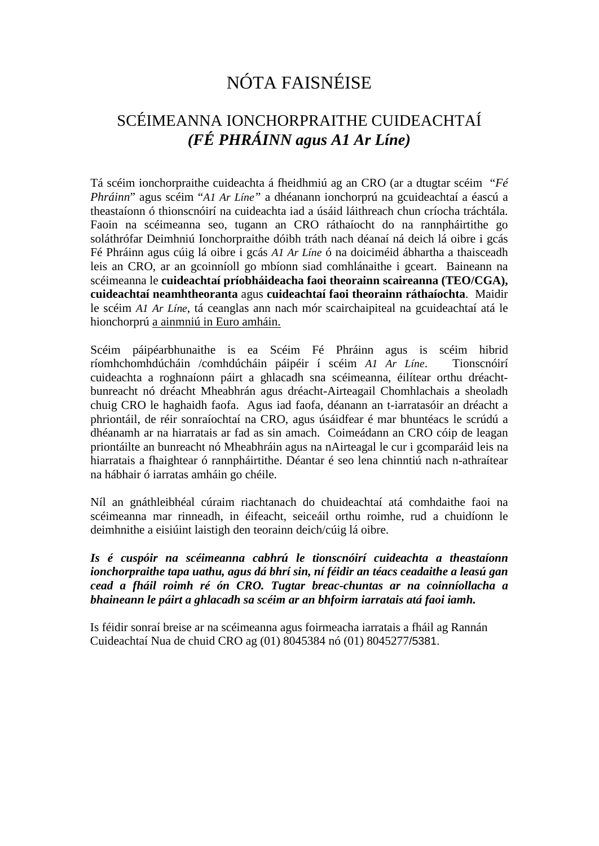# NÓTA FAISNÉISE

#### SCÉIMEANNA IONCHORPRAITHE CUIDEACHTAÍ *(FÉ PHRÁINN agus A1 Ar Líne)*

Tá scéim ionchorpraithe cuideachta á fheidhmiú ag an CRO (ar a dtugtar scéim "*Fé Phráinn*" agus scéim "*A1 Ar Líne"* a dhéanann ionchorprú na gcuideachtaí a éascú a theastaíonn ó thionscnóirí na cuideachta iad a úsáid láithreach chun críocha tráchtála. Faoin na scéimeanna seo, tugann an CRO ráthaíocht do na rannpháirtithe go soláthrófar Deimhniú Ionchorpraithe dóibh tráth nach déanaí ná deich lá oibre i gcás Fé Phráinn agus cúig lá oibre i gcás *A1 Ar Líne* ó na doiciméid ábhartha a thaisceadh leis an CRO, ar an gcoinníoll go mbíonn siad comhlánaithe i gceart. Baineann na scéimeanna le **cuideachtaí príobháideacha faoi theorainn scaireanna (TEO/CGA), cuideachtaí neamhtheoranta** agus **cuideachtaí faoi theorainn ráthaíochta**. Maidir le scéim *A1 Ar Líne*, tá ceanglas ann nach mór scairchaipiteal na gcuideachtaí atá le hionchorprú a ainmniú in Euro amháin.

Scéim páipéarbhunaithe is ea Scéim Fé Phráinn agus is scéim hibrid ríomhchomhdúcháin /comhdúcháin páipéir í scéim *A1 Ar Líne*. Tionscnóirí cuideachta a roghnaíonn páirt a ghlacadh sna scéimeanna, éilítear orthu dréachtbunreacht nó dréacht Mheabhrán agus dréacht-Airteagail Chomhlachais a sheoladh chuig CRO le haghaidh faofa. Agus iad faofa, déanann an t-iarratasóir an dréacht a phriontáil, de réir sonraíochtaí na CRO, agus úsáidfear é mar bhuntéacs le scrúdú a dhéanamh ar na hiarratais ar fad as sin amach. Coimeádann an CRO cóip de leagan priontáilte an bunreacht nó Mheabhráin agus na nAirteagal le cur i gcomparáid leis na hiarratais a fhaightear ó rannpháirtithe. Déantar é seo lena chinntiú nach n-athraítear na hábhair ó iarratas amháin go chéile.

Níl an gnáthleibhéal cúraim riachtanach do chuideachtaí atá comhdaithe faoi na scéimeanna mar rinneadh, in éifeacht, seiceáil orthu roimhe, rud a chuidíonn le deimhnithe a eisiúint laistigh den teorainn deich/cúig lá oibre.

*Is é cuspóir na scéimeanna cabhrú le tionscnóirí cuideachta a theastaíonn ionchorpraithe tapa uathu, agus dá bhrí sin, ní féidir an téacs ceadaithe a leasú gan cead a fháil roimh ré ón CRO. Tugtar breac-chuntas ar na coinníollacha a bhaineann le páirt a ghlacadh sa scéim ar an bhfoirm iarratais atá faoi iamh.*

Is féidir sonraí breise ar na scéimeanna agus foirmeacha iarratais a fháil ag Rannán Cuideachtaí Nua de chuid CRO ag (01) 8045384 nó (01) 8045277/5381.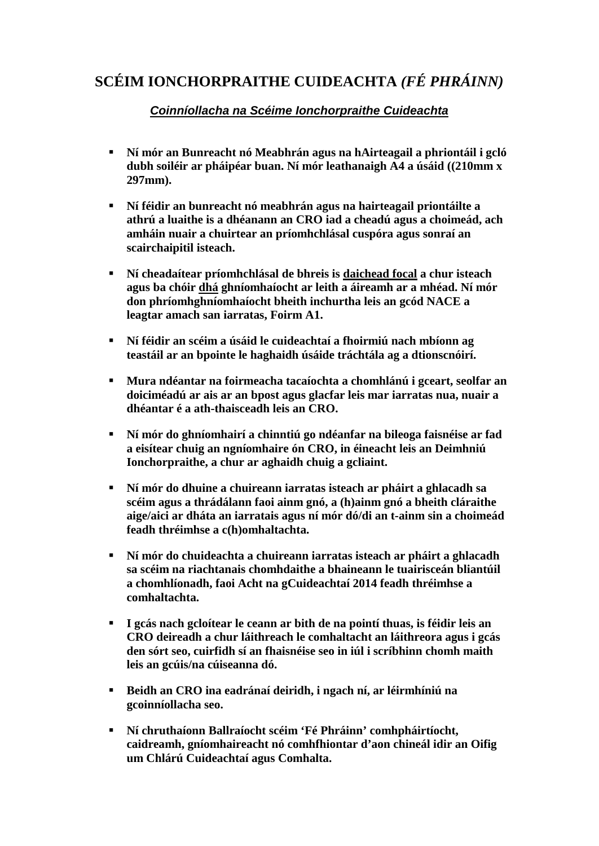### **SCÉIM IONCHORPRAITHE CUIDEACHTA** *(FÉ PHRÁINN)*

#### *Coinníollacha na Scéime Ionchorpraithe Cuideachta*

- **Ní mór an Bunreacht nó Meabhrán agus na hAirteagail a phriontáil i gcló dubh soiléir ar pháipéar buan. Ní mór leathanaigh A4 a úsáid ((210mm x 297mm).**
- **Ní féidir an bunreacht nó meabhrán agus na hairteagail priontáilte a athrú a luaithe is a dhéanann an CRO iad a cheadú agus a choimeád, ach amháin nuair a chuirtear an príomhchlásal cuspóra agus sonraí an scairchaipitil isteach.**
- **Ní cheadaítear príomhchlásal de bhreis is daichead focal a chur isteach agus ba chóir dhá ghníomhaíocht ar leith a áireamh ar a mhéad. Ní mór don phríomhghníomhaíocht bheith inchurtha leis an gcód NACE a leagtar amach san iarratas, Foirm A1.**
- **Ní féidir an scéim a úsáid le cuideachtaí a fhoirmiú nach mbíonn ag teastáil ar an bpointe le haghaidh úsáide tráchtála ag a dtionscnóirí.**
- **Mura ndéantar na foirmeacha tacaíochta a chomhlánú i gceart, seolfar an doiciméadú ar ais ar an bpost agus glacfar leis mar iarratas nua, nuair a dhéantar é a ath-thaisceadh leis an CRO.**
- **Ní mór do ghníomhairí a chinntiú go ndéanfar na bileoga faisnéise ar fad a eisítear chuig an ngníomhaire ón CRO, in éineacht leis an Deimhniú Ionchorpraithe, a chur ar aghaidh chuig a gcliaint.**
- **Ní mór do dhuine a chuireann iarratas isteach ar pháirt a ghlacadh sa scéim agus a thrádálann faoi ainm gnó, a (h)ainm gnó a bheith cláraithe aige/aici ar dháta an iarratais agus ní mór dó/di an t-ainm sin a choimeád feadh thréimhse a c(h)omhaltachta.**
- **Ní mór do chuideachta a chuireann iarratas isteach ar pháirt a ghlacadh sa scéim na riachtanais chomhdaithe a bhaineann le tuairisceán bliantúil a chomhlíonadh, faoi Acht na gCuideachtaí 2014 feadh thréimhse a comhaltachta.**
- **I gcás nach gcloítear le ceann ar bith de na pointí thuas, is féidir leis an CRO deireadh a chur láithreach le comhaltacht an láithreora agus i gcás den sórt seo, cuirfidh sí an fhaisnéise seo in iúl i scríbhinn chomh maith leis an gcúis/na cúiseanna dó.**
- **Beidh an CRO ina eadránaí deiridh, i ngach ní, ar léirmhíniú na gcoinníollacha seo.**
- **Ní chruthaíonn Ballraíocht scéim 'Fé Phráinn' comhpháirtíocht, caidreamh, gníomhaireacht nó comhfhiontar d'aon chineál idir an Oifig um Chlárú Cuideachtaí agus Comhalta.**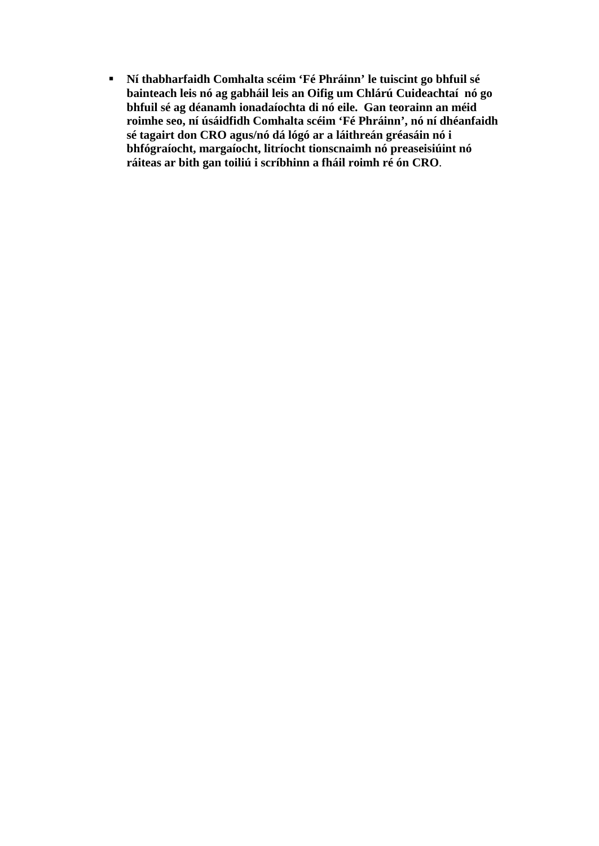**Ní thabharfaidh Comhalta scéim 'Fé Phráinn' le tuiscint go bhfuil sé bainteach leis nó ag gabháil leis an Oifig um Chlárú Cuideachtaí nó go bhfuil sé ag déanamh ionadaíochta di nó eile. Gan teorainn an méid roimhe seo, ní úsáidfidh Comhalta scéim 'Fé Phráinn', nó ní dhéanfaidh sé tagairt don CRO agus/nó dá lógó ar a láithreán gréasáin nó i bhfógraíocht, margaíocht, litríocht tionscnaimh nó preaseisiúint nó ráiteas ar bith gan toiliú i scríbhinn a fháil roimh ré ón CRO**.